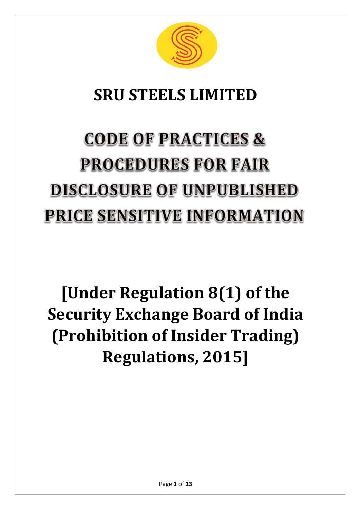

### **SRU STEELS LIMITED**

# **CODE OF PRACTICES & PROCEDURES FOR FAIR DISCLOSURE OF UNPUBLISHED PRICE SENSITIVE INFORMATION**

## **[Under Regulation 8(1) of the Security Exchange Board of India (Prohibition of Insider Trading) Regulations, 2015]**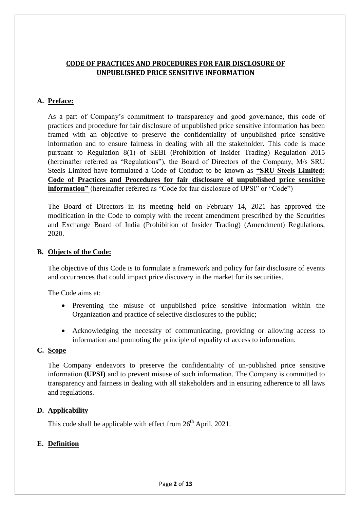#### **CODE OF PRACTICES AND PROCEDURES FOR FAIR DISCLOSURE OF UNPUBLISHED PRICE SENSITIVE INFORMATION**

#### **A. Preface:**

As a part of Company's commitment to transparency and good governance, this code of practices and procedure for fair disclosure of unpublished price sensitive information has been framed with an objective to preserve the confidentiality of unpublished price sensitive information and to ensure fairness in dealing with all the stakeholder. This code is made pursuant to Regulation 8(1) of SEBI (Prohibition of Insider Trading) Regulation 2015 (hereinafter referred as "Regulations"), the Board of Directors of the Company, M/s SRU Steels Limited have formulated a Code of Conduct to be known as **"SRU Steels Limited: Code of Practices and Procedures for fair disclosure of unpublished price sensitive information**" (hereinafter referred as "Code for fair disclosure of UPSI" or "Code")

The Board of Directors in its meeting held on February 14, 2021 has approved the modification in the Code to comply with the recent amendment prescribed by the Securities and Exchange Board of India (Prohibition of Insider Trading) (Amendment) Regulations, 2020.

#### **B. Objects of the Code:**

The objective of this Code is to formulate a framework and policy for fair disclosure of events and occurrences that could impact price discovery in the market for its securities.

The Code aims at:

- Preventing the misuse of unpublished price sensitive information within the Organization and practice of selective disclosures to the public;
- Acknowledging the necessity of communicating, providing or allowing access to information and promoting the principle of equality of access to information.

#### **C. Scope**

The Company endeavors to preserve the confidentiality of un-published price sensitive information **(UPSI)** and to prevent misuse of such information. The Company is committed to transparency and fairness in dealing with all stakeholders and in ensuring adherence to all laws and regulations.

#### **D. Applicability**

This code shall be applicable with effect from  $26<sup>th</sup>$  April, 2021.

#### **E. Definition**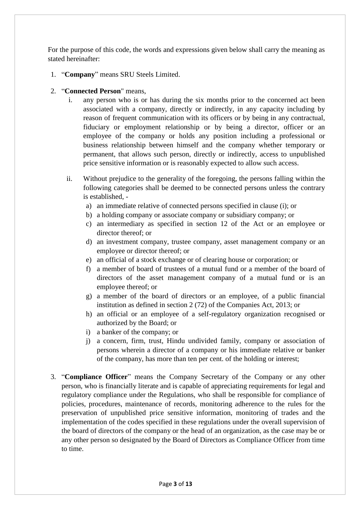For the purpose of this code, the words and expressions given below shall carry the meaning as stated hereinafter:

- 1. "**Company**" means SRU Steels Limited.
- 2. "**Connected Person**" means,
	- i. any person who is or has during the six months prior to the concerned act been associated with a company, directly or indirectly, in any capacity including by reason of frequent communication with its officers or by being in any contractual, fiduciary or employment relationship or by being a director, officer or an employee of the company or holds any position including a professional or business relationship between himself and the company whether temporary or permanent, that allows such person, directly or indirectly, access to unpublished price sensitive information or is reasonably expected to allow such access.
	- ii. Without prejudice to the generality of the foregoing, the persons falling within the following categories shall be deemed to be connected persons unless the contrary is established,
		- a) an immediate relative of connected persons specified in clause (i); or
		- b) a holding company or associate company or subsidiary company; or
		- c) an intermediary as specified in section 12 of the Act or an employee or director thereof; or
		- d) an investment company, trustee company, asset management company or an employee or director thereof; or
		- e) an official of a stock exchange or of clearing house or corporation; or
		- f) a member of board of trustees of a mutual fund or a member of the board of directors of the asset management company of a mutual fund or is an employee thereof; or
		- g) a member of the board of directors or an employee, of a public financial institution as defined in section 2 (72) of the Companies Act, 2013; or
		- h) an official or an employee of a self-regulatory organization recognised or authorized by the Board; or
		- i) a banker of the company; or
		- j) a concern, firm, trust, Hindu undivided family, company or association of persons wherein a director of a company or his immediate relative or banker of the company, has more than ten per cent. of the holding or interest;
- 3. "**Compliance Officer**" means the Company Secretary of the Company or any other person, who is financially literate and is capable of appreciating requirements for legal and regulatory compliance under the Regulations, who shall be responsible for compliance of policies, procedures, maintenance of records, monitoring adherence to the rules for the preservation of unpublished price sensitive information, monitoring of trades and the implementation of the codes specified in these regulations under the overall supervision of the board of directors of the company or the head of an organization, as the case may be or any other person so designated by the Board of Directors as Compliance Officer from time to time.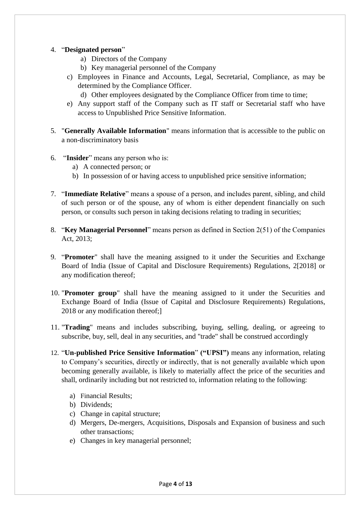#### 4. "**Designated person**"

- a) Directors of the Company
- b) Key managerial personnel of the Company
- c) Employees in Finance and Accounts, Legal, Secretarial, Compliance, as may be determined by the Compliance Officer.
	- d) Other employees designated by the Compliance Officer from time to time;
- e) Any support staff of the Company such as IT staff or Secretarial staff who have access to Unpublished Price Sensitive Information.
- 5. "**Generally Available Information**" means information that is accessible to the public on a non-discriminatory basis
- 6. "**Insider**" means any person who is:
	- a) A connected person; or
	- b) In possession of or having access to unpublished price sensitive information;
- 7. "**Immediate Relative**" means a spouse of a person, and includes parent, sibling, and child of such person or of the spouse, any of whom is either dependent financially on such person, or consults such person in taking decisions relating to trading in securities;
- 8. "**Key Managerial Personnel**" means person as defined in Section 2(51) of the Companies Act, 2013;
- 9. "**Promoter**" shall have the meaning assigned to it under the Securities and Exchange Board of India (Issue of Capital and Disclosure Requirements) Regulations, 2[2018] or any modification thereof;
- 10. "**Promoter group**" shall have the meaning assigned to it under the Securities and Exchange Board of India (Issue of Capital and Disclosure Requirements) Regulations, 2018 or any modification thereof;]
- 11. "**Trading**" means and includes subscribing, buying, selling, dealing, or agreeing to subscribe, buy, sell, deal in any securities, and "trade" shall be construed accordingly
- 12. "**Un-published Price Sensitive Information**" **("UPSI")** means any information, relating to Company's securities, directly or indirectly, that is not generally available which upon becoming generally available, is likely to materially affect the price of the securities and shall, ordinarily including but not restricted to, information relating to the following:
	- a) Financial Results;
	- b) Dividends;
	- c) Change in capital structure;
	- d) Mergers, De-mergers, Acquisitions, Disposals and Expansion of business and such other transactions;
	- e) Changes in key managerial personnel;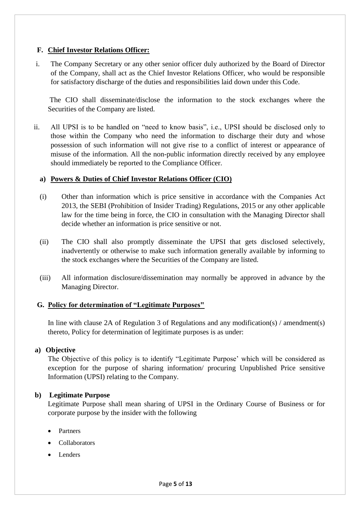#### **F. Chief Investor Relations Officer:**

i. The Company Secretary or any other senior officer duly authorized by the Board of Director of the Company, shall act as the Chief Investor Relations Officer, who would be responsible for satisfactory discharge of the duties and responsibilities laid down under this Code.

The CIO shall disseminate/disclose the information to the stock exchanges where the Securities of the Company are listed.

ii. All UPSI is to be handled on "need to know basis", i.e., UPSI should be disclosed only to those within the Company who need the information to discharge their duty and whose possession of such information will not give rise to a conflict of interest or appearance of misuse of the information. All the non-public information directly received by any employee should immediately be reported to the Compliance Officer.

#### **a) Powers & Duties of Chief Investor Relations Officer (CIO)**

- (i) Other than information which is price sensitive in accordance with the Companies Act 2013, the SEBI (Prohibition of Insider Trading) Regulations, 2015 or any other applicable law for the time being in force, the CIO in consultation with the Managing Director shall decide whether an information is price sensitive or not.
- (ii) The CIO shall also promptly disseminate the UPSI that gets disclosed selectively, inadvertently or otherwise to make such information generally available by informing to the stock exchanges where the Securities of the Company are listed.
- (iii) All information disclosure/dissemination may normally be approved in advance by the Managing Director.

#### **G. Policy for determination of "Legitimate Purposes"**

In line with clause 2A of Regulation 3 of Regulations and any modification(s) / amendment(s) thereto, Policy for determination of legitimate purposes is as under:

#### **a) Objective**

The Objective of this policy is to identify "Legitimate Purpose' which will be considered as exception for the purpose of sharing information/ procuring Unpublished Price sensitive Information (UPSI) relating to the Company.

#### **b) Legitimate Purpose**

Legitimate Purpose shall mean sharing of UPSI in the Ordinary Course of Business or for corporate purpose by the insider with the following

- Partners
- Collaborators
- Lenders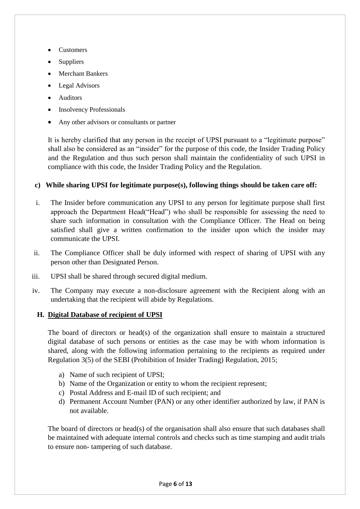- Customers
- Suppliers
- Merchant Bankers
- Legal Advisors
- Auditors
- Insolvency Professionals
- Any other advisors or consultants or partner

It is hereby clarified that any person in the receipt of UPSI pursuant to a "legitimate purpose" shall also be considered as an "insider" for the purpose of this code, the Insider Trading Policy and the Regulation and thus such person shall maintain the confidentiality of such UPSI in compliance with this code, the Insider Trading Policy and the Regulation.

#### **c) While sharing UPSI for legitimate purpose(s), following things should be taken care off:**

- i. The Insider before communication any UPSI to any person for legitimate purpose shall first approach the Department Head("Head") who shall be responsible for assessing the need to share such information in consultation with the Compliance Officer. The Head on being satisfied shall give a written confirmation to the insider upon which the insider may communicate the UPSI.
- ii. The Compliance Officer shall be duly informed with respect of sharing of UPSI with any person other than Designated Person.
- iii. UPSI shall be shared through secured digital medium.
- iv. The Company may execute a non-disclosure agreement with the Recipient along with an undertaking that the recipient will abide by Regulations.

#### **H. Digital Database of recipient of UPSI**

The board of directors or head(s) of the organization shall ensure to maintain a structured digital database of such persons or entities as the case may be with whom information is shared, along with the following information pertaining to the recipients as required under Regulation 3(5) of the SEBI (Prohibition of Insider Trading) Regulation, 2015;

- a) Name of such recipient of UPSI;
- b) Name of the Organization or entity to whom the recipient represent;
- c) Postal Address and E-mail ID of such recipient; and
- d) Permanent Account Number (PAN) or any other identifier authorized by law, if PAN is not available.

The board of directors or head(s) of the organisation shall also ensure that such databases shall be maintained with adequate internal controls and checks such as time stamping and audit trials to ensure non- tampering of such database.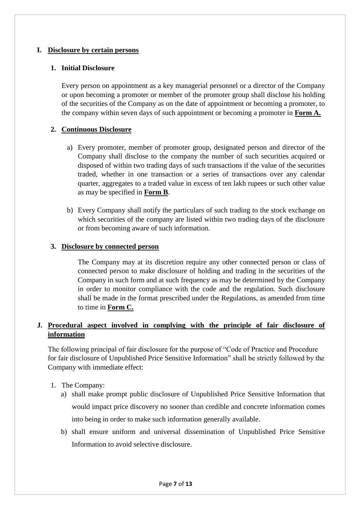#### **I. Disclosure by certain persons**

#### **1. Initial Disclosure**

Every person on appointment as a key managerial personnel or a director of the Company or upon becoming a promoter or member of the promoter group shall disclose his holding of the securities of the Company as on the date of appointment or becoming a promoter, to the company within seven days of such appointment or becoming a promoter in **Form A.**

#### **2. Continuous Disclosure**

- a) Every promoter, member of promoter group, designated person and director of the Company shall disclose to the company the number of such securities acquired or disposed of within two trading days of such transactions if the value of the securities traded, whether in one transaction or a series of transactions over any calendar quarter, aggregates to a traded value in excess of ten lakh rupees or such other value as may be specified in **Form B**.
- b) Every Company shall notify the particulars of such trading to the stock exchange on which securities of the company are listed within two trading days of the disclosure or from becoming aware of such information.

#### **3. Disclosure by connected person**

The Company may at its discretion require any other connected person or class of connected person to make disclosure of holding and trading in the securities of the Company in such form and at such frequency as may be determined by the Company in order to monitor compliance with the code and the regulation. Such disclosure shall be made in the format prescribed under the Regulations, as amended from time to time in **Form C.**

#### **J. Procedural aspect involved in complying with the principle of fair disclosure of information**

The following principal of fair disclosure for the purpose of "Code of Practice and Procedure for fair disclosure of Unpublished Price Sensitive Information" shall be strictly followed by the Company with immediate effect:

- 1. The Company:
	- a) shall make prompt public disclosure of Unpublished Price Sensitive Information that would impact price discovery no sooner than credible and concrete information comes into being in order to make such information generally available.
	- b) shall ensure uniform and universal dissemination of Unpublished Price Sensitive Information to avoid selective disclosure.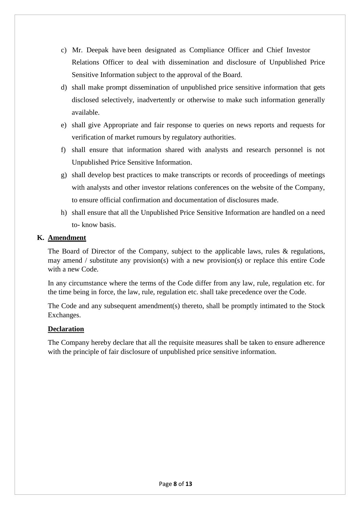- Relations Officer to deal with dissemination and disclosure of Unpublished Price Sensitive Information subject to the approval of the Board. c) Mr. Deepak have been designated as Compliance Officer and Chief Investor
- d) shall make prompt dissemination of unpublished price sensitive information that gets disclosed selectively, inadvertently or otherwise to make such information generally available.
- e) shall give Appropriate and fair response to queries on news reports and requests for verification of market rumours by regulatory authorities.
- f) shall ensure that information shared with analysts and research personnel is not Unpublished Price Sensitive Information.
- g) shall develop best practices to make transcripts or records of proceedings of meetings with analysts and other investor relations conferences on the website of the Company, to ensure official confirmation and documentation of disclosures made.
- h) shall ensure that all the Unpublished Price Sensitive Information are handled on a need to- know basis.

#### **K. Amendment**

The Board of Director of the Company, subject to the applicable laws, rules & regulations, may amend / substitute any provision(s) with a new provision(s) or replace this entire Code with a new Code.

In any circumstance where the terms of the Code differ from any law, rule, regulation etc. for the time being in force, the law, rule, regulation etc. shall take precedence over the Code.

The Code and any subsequent amendment(s) thereto, shall be promptly intimated to the Stock Exchanges.

#### **Declaration**

The Company hereby declare that all the requisite measures shall be taken to ensure adherence with the principle of fair disclosure of unpublished price sensitive information.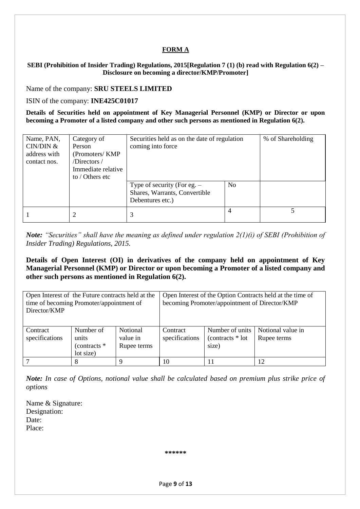#### **FORM A**

#### **SEBI (Prohibition of Insider Trading) Regulations, 2015[Regulation 7 (1) (b) read with Regulation 6(2) – Disclosure on becoming a director/KMP/Promoter]**

Name of the company: **SRU STEELS LIMITED**

#### ISIN of the company: **INE425C01017**

**Details of Securities held on appointment of Key Managerial Personnel (KMP) or Director or upon becoming a Promoter of a listed company and other such persons as mentioned in Regulation 6(2).** 

| Name, PAN,<br>CIN/DIN &<br>address with<br>contact nos. | Category of<br>Person<br>(Promoters/KMP)<br>/Directors/<br>Immediate relative<br>to / Others etc | Securities held as on the date of regulation<br>coming into force                  | % of Shareholding |  |
|---------------------------------------------------------|--------------------------------------------------------------------------------------------------|------------------------------------------------------------------------------------|-------------------|--|
|                                                         |                                                                                                  | Type of security (For eg. $-$<br>Shares, Warrants, Convertible<br>Debentures etc.) | N <sub>o</sub>    |  |
|                                                         | 2                                                                                                | 3                                                                                  |                   |  |

*Note: "Securities" shall have the meaning as defined under regulation 2(1)(i) of SEBI (Prohibition of Insider Trading) Regulations, 2015.* 

**Details of Open Interest (OI) in derivatives of the company held on appointment of Key Managerial Personnel (KMP) or Director or upon becoming a Promoter of a listed company and other such persons as mentioned in Regulation 6(2).** 

| Open Interest of the Future contracts held at the<br>time of becoming Promoter/appointment of<br>Director/KMP |                                                   |                                     | Open Interest of the Option Contracts held at the time of<br>becoming Promoter/appointment of Director/KMP |                                              |                                  |  |
|---------------------------------------------------------------------------------------------------------------|---------------------------------------------------|-------------------------------------|------------------------------------------------------------------------------------------------------------|----------------------------------------------|----------------------------------|--|
| Contract<br>specifications                                                                                    | Number of<br>units<br>(contracts $*$<br>lot size) | Notional<br>value in<br>Rupee terms | Contract<br>specifications                                                                                 | Number of units<br>(contracts * lot<br>size) | Notional value in<br>Rupee terms |  |
|                                                                                                               | 8                                                 |                                     | 10                                                                                                         | 11                                           | 12                               |  |

*Note: In case of Options, notional value shall be calculated based on premium plus strike price of options* 

Name & Signature: Designation: Date: Place:

**\*\*\*\*\*\***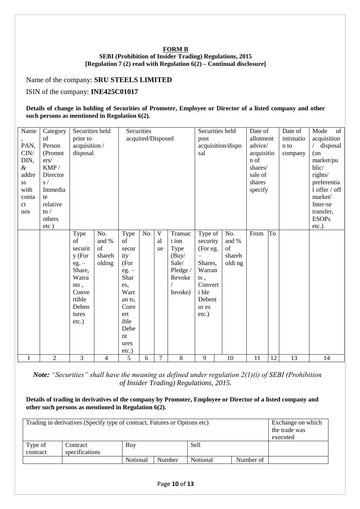#### **FORM B SEBI (Prohibition of Insider Trading) Regulations, 2015 [Regulation 7 (2) read with Regulation 6(2) – Continual disclosure]**

Name of the company: **SRU STEELS LIMITED**

ISIN of the company: **INE425C01017**

#### **Details of change in holding of Securities of Promoter, Employee or Director of a listed company and other such persons as mentioned in Regulation 6(2).**

| Name  | Category       | Securities held |        |                   | Securities     |        |          | Securities held |                   | Date of    |           | Date of     | of<br>Mode    |
|-------|----------------|-----------------|--------|-------------------|----------------|--------|----------|-----------------|-------------------|------------|-----------|-------------|---------------|
|       | of             | prior to        |        | acquired/Disposed |                |        | post     |                 | allotment         |            | intimatio | acquisition |               |
| PAN,  | Person         | acquisition /   |        |                   |                |        |          |                 | acquisition/dispo | advice/    |           | n to        | / disposal    |
| CIN/  | (Promot        | disposal        |        |                   |                |        |          | sal             |                   | acquisitio |           | company     | $($ on        |
| DIN,  | ers/           |                 |        |                   |                |        |          |                 |                   | n of       |           |             | market/pu     |
| $\&$  | KMP/           |                 |        |                   |                |        |          |                 |                   | shares/    |           |             | blic/         |
| addre | Director       |                 |        |                   |                |        |          |                 |                   | sale of    |           |             | rights/       |
| SS    | s/             |                 |        |                   |                |        |          |                 |                   | shares     |           |             | preferentia   |
| with  | Immedia        |                 |        |                   |                |        |          |                 |                   | specify    |           |             | 1 offer / off |
| conta | te             |                 |        |                   |                |        |          |                 |                   |            |           |             | market/       |
| ct    | relative       |                 |        |                   |                |        |          |                 |                   |            |           |             | Inter-se      |
| nos   | to $/$         |                 |        |                   |                |        |          |                 |                   |            |           |             | transfer,     |
|       | others         |                 |        |                   |                |        |          |                 |                   |            |           |             | <b>ESOPs</b>  |
|       | $etc$ )        |                 |        |                   |                |        |          |                 |                   |            |           |             | $etc.$ )      |
|       |                | Type            | No.    | Type              | N <sub>o</sub> | V      | Transac  | Type of         | No.               | From       | To        |             |               |
|       |                | of              | and %  | of                |                | al     | t ion    | security        | and %             |            |           |             |               |
|       |                | securit         | of     | secur             |                | ue     | Type     | (For eg.        | of                |            |           |             |               |
|       |                | $y$ (For        | shareh | ity               |                |        | (Buy/    |                 | shareh            |            |           |             |               |
|       |                | $eg. -$         | olding | (For              |                |        | Sale/    | Shares,         | oldi ng           |            |           |             |               |
|       |                | Share,          |        | $eg. -$           |                |        | Pledge / | Warran          |                   |            |           |             |               |
|       |                | Warra           |        | Shar              |                |        | Revoke   | ts,             |                   |            |           |             |               |
|       |                | nts,            |        | es,               |                |        |          | Convert         |                   |            |           |             |               |
|       |                | Conve           |        | Warr              |                |        | Invoke)  | <i>i</i> ble    |                   |            |           |             |               |
|       |                | rtible          |        | an ts.            |                |        |          | Debent          |                   |            |           |             |               |
|       |                | Deben           |        | Conv              |                |        |          | ur es           |                   |            |           |             |               |
|       |                | tures           |        | ert               |                |        |          | $etc.$ )        |                   |            |           |             |               |
|       |                | $etc.$ )        |        | ible              |                |        |          |                 |                   |            |           |             |               |
|       |                |                 |        | Debe              |                |        |          |                 |                   |            |           |             |               |
|       |                |                 |        | nt                |                |        |          |                 |                   |            |           |             |               |
|       |                |                 |        | ures              |                |        |          |                 |                   |            |           |             |               |
|       |                |                 |        | etc.)             |                |        |          |                 |                   |            |           |             |               |
| 1     | $\overline{2}$ | 3               | 4      | 5                 | 6              | $\tau$ | 8        | 9               | 10                | 11         | 12        | 13          | 14            |

 *Note: "Securities" shall have the meaning as defined under regulation 2(1)(i) of SEBI (Prohibition of Insider Trading) Regulations, 2015.* 

#### **Details of trading in derivatives of the company by Promoter, Employee or Director of a listed company and other such persons as mentioned in Regulation 6(2).**

| Trading in derivatives (Specify type of contract, Futures or Options etc) | Exchange on which |                                             |  |  |  |          |  |  |  |
|---------------------------------------------------------------------------|-------------------|---------------------------------------------|--|--|--|----------|--|--|--|
|                                                                           | the trade was     |                                             |  |  |  |          |  |  |  |
|                                                                           |                   |                                             |  |  |  | executed |  |  |  |
| Type of                                                                   | Contract          | Buy                                         |  |  |  |          |  |  |  |
| contract                                                                  | specifications    |                                             |  |  |  |          |  |  |  |
|                                                                           |                   | Number of<br>Notional<br>Notional<br>Number |  |  |  |          |  |  |  |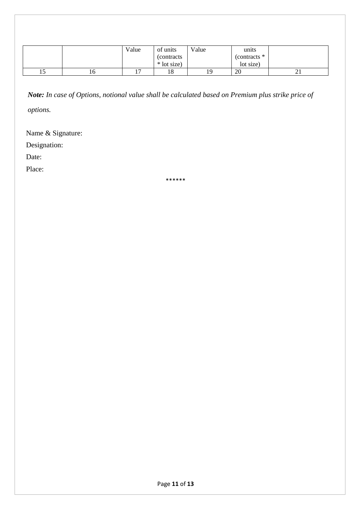|     |    | Value | of units                          | Value | units                       |    |
|-----|----|-------|-----------------------------------|-------|-----------------------------|----|
|     |    |       | <i>(contracts)</i><br>* lot size) |       | (contracts $*$<br>lot size) |    |
| ⊥ J | 10 |       | 18                                | 19    | 20                          | ∠⊥ |

*Note: In case of Options, notional value shall be calculated based on Premium plus strike price of* 

*options.* 

Name & Signature:

Designation:

Date:

Place:

\*\*\*\*\*\*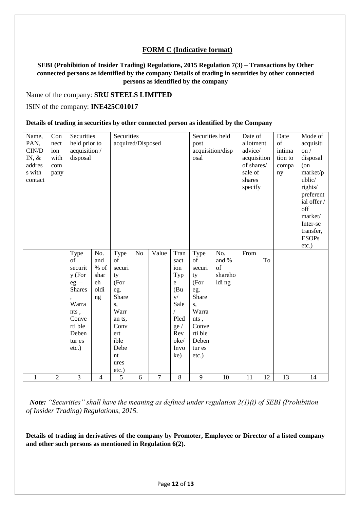#### **FORM C (Indicative format)**

#### **SEBI (Prohibition of Insider Trading) Regulations, 2015 Regulation 7(3) – Transactions by Other connected persons as identified by the company Details of trading in securities by other connected persons as identified by the company**

#### Name of the company: **SRU STEELS LIMITED**

#### ISIN of the company: **INE425C01017**

#### **Details of trading in securities by other connected person as identified by the Company**

 *Note: "Securities" shall have the meaning as defined under regulation 2(1)(i) of SEBI (Prohibition of Insider Trading) Regulations, 2015.* 

**Details of trading in derivatives of the company by Promoter, Employee or Director of a listed company and other such persons as mentioned in Regulation 6(2).**